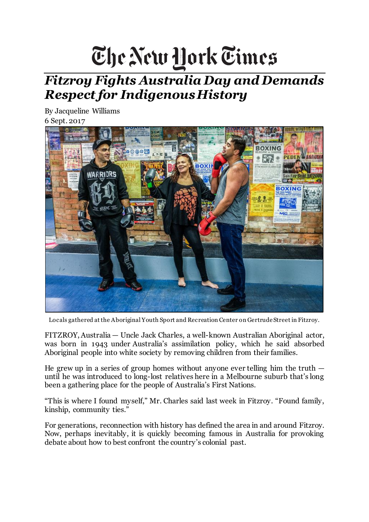## The New York Times

## *Fitzroy Fights Australia Day and Demands Respect for Indigenous History*

By Jacqueline Williams 6 Sept. 2017



Locals gathered at the Aboriginal Youth Sport and Recreation Center on Gertrude Street in Fitzroy.

FITZROY, Australia — Uncle Jack Charles, a well-known Australian Aboriginal actor, was born in 1943 under Australia's assimilation policy, which he said absorbed Aboriginal people into white society by removing children from their families.

He grew up in a series of group homes without anyone ever telling him the truth  $$ until he was introduced to long-lost relatives here in a Melbourne suburb that's long been a gathering place for the people of Australia's First Nations.

"This is where I found myself," Mr. Charles said last week in Fitzroy. "Found family, kinship, community ties."

For generations, reconnection with history has defined the area in and around Fitzroy. Now, perhaps inevitably, it is quickly becoming famous in Australia for provoking debate about how to best confront the country's colonial past.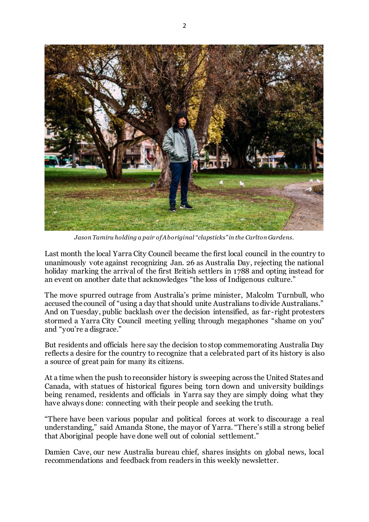

*Jason Tamiru holding a pair of Aboriginal "clapsticks" in the Carlton Gardens.*

Last month the local Yarra City Council became the first local council in the country to unanimously vote against recognizing Jan. 26 as Australia Day, rejecting the national holiday marking the arrival of the first British settlers in 1788 and opting instead for an event on another date that acknowledges "the loss of Indigenous culture."

The move spurred outrage from Australia's prime minister, Malcolm Turnbull, who accused the council of "using a day that should unite Australians to divide Australians." And on Tuesday, public backlash over the decision intensified, as far-right protesters stormed a Yarra City Council meeting yelling through megaphones "shame on you" and "you're a disgrace."

But residents and officials here say the decision to stop commemorating Australia Day reflects a desire for the country to recognize that a celebrated part of its history is also a source of great pain for many its citizens.

At a time when the push to reconsider history is sweeping across the United States and Canada, with statues of historical figures being torn down and university buildings being renamed, residents and officials in Yarra say they are simply doing what they have always done: connecting with their people and seeking the truth.

"There have been various popular and political forces at work to discourage a real understanding," said Amanda Stone, the mayor of Yarra. "There's still a strong belief that Aboriginal people have done well out of colonial settlement."

Damien Cave, our new Australia bureau chief, shares insights on global news, local recommendations and feedback from readers in this weekly newsletter.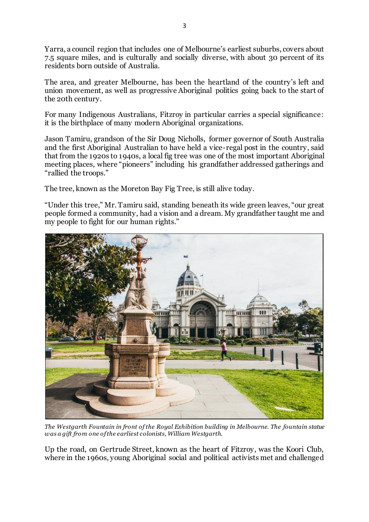Yarra, a council region that includes one of Melbourne's earliest suburbs, covers about 7.5 square miles, and is culturally and socially diverse, with about 30 percent of its residents born outside of Australia.

The area, and greater Melbourne, has been the heartland of the country's left and union movement, as well as progressive Aboriginal politics going back to the start of the 20th century.

For many Indigenous Australians, Fitzroy in particular carries a special significance: it is the birthplace of many modern Aboriginal organizations.

Jason Tamiru, grandson of the Sir Doug Nicholls, former governor of South Australia and the first Aboriginal Australian to have held a vice-regal post in the country, said that from the 1920s to 1940s, a local fig tree was one of the most important Aboriginal meeting places, where "pioneers" including his grandfather addressed gatherings and "rallied the troops."

The tree, known as the Moreton Bay Fig Tree, is still alive today.

"Under this tree," Mr. Tamiru said, standing beneath its wide green leaves, "our great people formed a community, had a vision and a dream. My grandfather taught me and my people to fight for our human rights."



*The Westgarth Fountain in front of the Royal Exhibition building in Melbourne. The fountain statue was a gift from one of the earliest colonists, William Westgarth.*

Up the road, on Gertrude Street, known as the heart of Fitzroy, was the Koori Club, where in the 1960s, young Aboriginal social and political activists met and challenged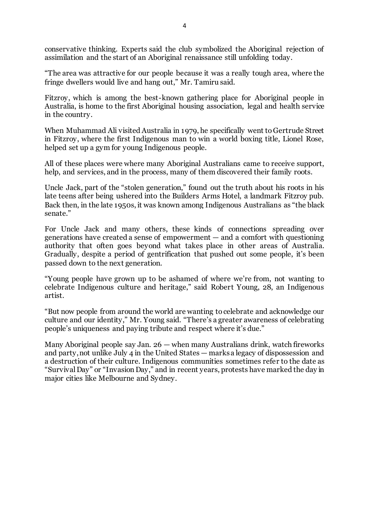conservative thinking. Experts said the club symbolized the Aboriginal rejection of assimilation and the start of an Aboriginal renaissance still unfolding today.

"The area was attractive for our people because it was a really tough area, where the fringe dwellers would live and hang out," Mr. Tamiru said.

Fitzroy, which is among the best-known gathering place for Aboriginal people in Australia, is home to the first Aboriginal housing association, legal and health service in the country.

When Muhammad Ali visited Australia in 1979, he specifically went to Gertrude Street in Fitzroy, where the first Indigenous man to win a world boxing title, Lionel Rose, helped set up a gym for young Indigenous people.

All of these places were where many Aboriginal Australians came to receive support, help, and services, and in the process, many of them discovered their family roots.

Uncle Jack, part of the "stolen generation," found out the truth about his roots in his late teens after being ushered into the Builders Arms Hotel, a landmark Fitzroy pub. Back then, in the late 1950s, it was known among Indigenous Australians as "the black senate<sup>"</sup>

For Uncle Jack and many others, these kinds of connections spreading over generations have created a sense of empowerment — and a comfort with questioning authority that often goes beyond what takes place in other areas of Australia. Gradually, despite a period of gentrification that pushed out some people, it's been passed down to the next generation.

"Young people have grown up to be ashamed of where we're from, not wanting to celebrate Indigenous culture and heritage," said Robert Young, 28, an Indigenous artist.

"But now people from around the world are wanting to celebrate and acknowledge our culture and our identity," Mr. Young said. "There's a greater awareness of celebrating people's uniqueness and paying tribute and respect where it's due."

Many Aboriginal people say Jan. 26 — when many Australians drink, watch fireworks and party, not unlike July 4 in the United States — marks a legacy of dispossession and a destruction of their culture. Indigenous communities sometimes refer to the date as "Survival Day" or "Invasion Day," and in recent years, protests have marked the day in major cities like Melbourne and Sydney.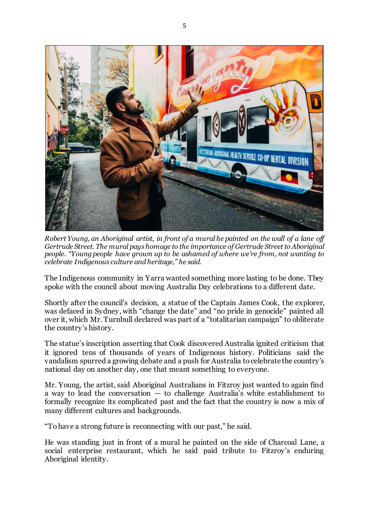

*Robert Young, an Aboriginal artist, in front of a mural he painted on the wall of a lane off Gertrude Street. The mural pays homage to the importance of Gertrude Street to Aboriginal people. "Young people have grown up to be ashamed of where we're from, not wanting to celebrate Indigenous culture and heritage," he said.*

The Indigenous community in Yarra wanted something more lasting to be done. They spoke with the council about moving Australia Day celebrations to a different date.

Shortly after the council's decision, a statue of the Captain James Cook, the explorer, was defaced in Sydney, with "change the date" and "no pride in genocide" painted all over it, which Mr. Turnbull declared was part of a "totalitarian campaign" to obliterate the country's history.

The statue's inscription asserting that Cook discovered Australia ignited criticism that it ignored tens of thousands of years of Indigenous history. Politicians said the vandalism spurred a growing debate and a push for Australia to celebrate the country's national day on another day, one that meant something to everyone.

Mr. Young, the artist, said Aboriginal Australians in Fitzroy just wanted to again find a way to lead the conversation — to challenge Australia's white establishment to formally recognize its complicated past and the fact that the country is now a mix of many different cultures and backgrounds.

"To have a strong future is reconnecting with our past," he said.

He was standing just in front of a mural he painted on the side of Charcoal Lane, a social enterprise restaurant, which he said paid tribute to Fitzroy's enduring Aboriginal identity.